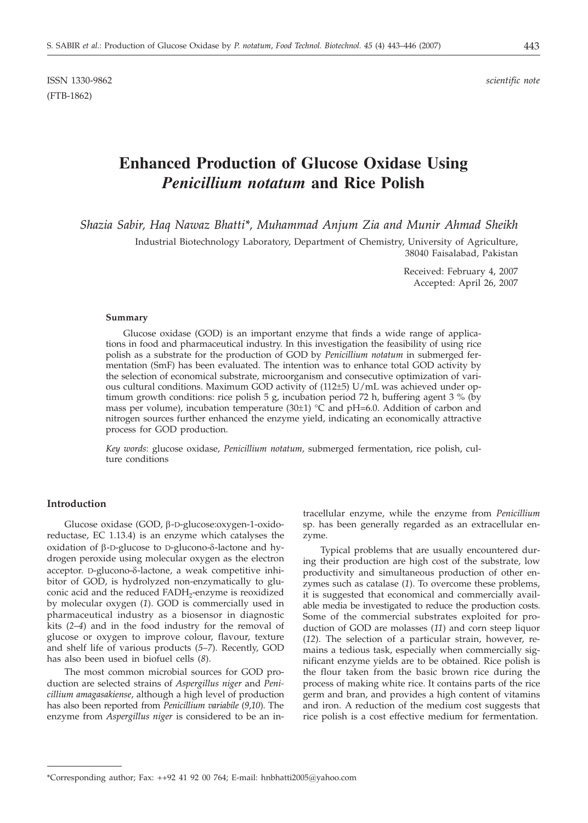# **Enhanced Production of Glucose Oxidase Using** *Penicillium notatum* **and Rice Polish**

*Shazia Sabir, Haq Nawaz Bhatti\*, Muhammad Anjum Zia and Munir Ahmad Sheikh*

Industrial Biotechnology Laboratory, Department of Chemistry, University of Agriculture, 38040 Faisalabad, Pakistan

> Received: February 4, 2007 Accepted: April 26, 2007

#### **Summary**

Glucose oxidase (GOD) is an important enzyme that finds a wide range of applications in food and pharmaceutical industry. In this investigation the feasibility of using rice polish as a substrate for the production of GOD by *Penicillium notatum* in submerged fermentation (SmF) has been evaluated. The intention was to enhance total GOD activity by the selection of economical substrate, microorganism and consecutive optimization of various cultural conditions. Maximum GOD activity of (112±5) U/mL was achieved under optimum growth conditions: rice polish 5 g, incubation period 72 h, buffering agent 3 % (by mass per volume), incubation temperature  $(30\pm1)$  °C and pH=6.0. Addition of carbon and nitrogen sources further enhanced the enzyme yield, indicating an economically attractive process for GOD production.

*Key words*: glucose oxidase, *Penicillium notatum*, submerged fermentation, rice polish, culture conditions

## **Introduction**

Glucose oxidase (GOD, b-D-glucose:oxygen-1-oxidoreductase, EC 1.13.4) is an enzyme which catalyses the oxidation of  $\beta$ -D-glucose to D-glucono- $\delta$ -lactone and hydrogen peroxide using molecular oxygen as the electron acceptor. D-glucono- $\delta$ -lactone, a weak competitive inhibitor of GOD, is hydrolyzed non-enzymatically to gluconic acid and the reduced FADH<sub>2</sub>-enzyme is reoxidized by molecular oxygen (*1*). GOD is commercially used in pharmaceutical industry as a biosensor in diagnostic kits (*2*–*4*) and in the food industry for the removal of glucose or oxygen to improve colour, flavour, texture and shelf life of various products (*5*–*7*). Recently, GOD has also been used in biofuel cells (*8*).

The most common microbial sources for GOD production are selected strains of *Aspergillus niger* and *Penicillium amagasakiense*, although a high level of production has also been reported from *Penicillium variabile* (*9*,*10*). The enzyme from *Aspergillus niger* is considered to be an in-

tracellular enzyme, while the enzyme from *Penicillium* sp. has been generally regarded as an extracellular enzyme.

Typical problems that are usually encountered during their production are high cost of the substrate, low productivity and simultaneous production of other enzymes such as catalase (*1*). To overcome these problems, it is suggested that economical and commercially available media be investigated to reduce the production costs. Some of the commercial substrates exploited for production of GOD are molasses (*11*) and corn steep liquor (*12*). The selection of a particular strain, however, remains a tedious task, especially when commercially significant enzyme yields are to be obtained. Rice polish is the flour taken from the basic brown rice during the process of making white rice. It contains parts of the rice germ and bran, and provides a high content of vitamins and iron. A reduction of the medium cost suggests that rice polish is a cost effective medium for fermentation.

<sup>\*</sup>Corresponding author; Fax: ++92 41 92 00 764; E-mail: hnbhatti2005@yahoo.com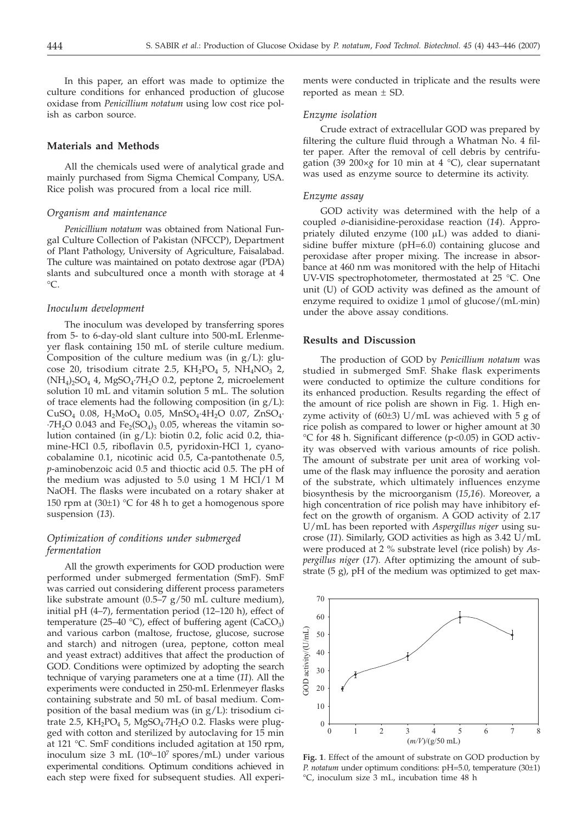In this paper, an effort was made to optimize the culture conditions for enhanced production of glucose oxidase from *Penicillium notatum* using low cost rice polish as carbon source.

#### **Materials and Methods**

All the chemicals used were of analytical grade and mainly purchased from Sigma Chemical Company, USA. Rice polish was procured from a local rice mill.

#### *Organism and maintenance*

*Penicillium notatum* was obtained from National Fungal Culture Collection of Pakistan (NFCCP), Department of Plant Pathology, University of Agriculture, Faisalabad. The culture was maintained on potato dextrose agar (PDA) slants and subcultured once a month with storage at 4  $^{\circ}C$ .

#### *Inoculum development*

The inoculum was developed by transferring spores from 5- to 6-day-old slant culture into 500-mL Erlenmeyer flask containing 150 mL of sterile culture medium. Composition of the culture medium was (in  $g/L$ ): glucose 20, trisodium citrate 2.5,  $KH_2PO_4$  5,  $NH_4NO_3$  2,  $(NH_4)$ <sub>2</sub>SO<sub>4</sub> 4, MgSO<sub>4</sub>·7H<sub>2</sub>O 0.2, peptone 2, microelement solution 10 mL and vitamin solution 5 mL. The solution of trace elements had the following composition (in  $g/L$ ):  $CuSO_4$  0.08,  $H_2MoO_4$  0.05,  $MnSO_4$ ·4 $H_2O$  0.07,  $ZnSO_4$ ·  $\cdot$ 7H<sub>2</sub>O 0.043 and Fe<sub>2</sub>(SO<sub>4</sub>)<sub>3</sub> 0.05, whereas the vitamin solution contained (in  $g/L$ ): biotin 0.2, folic acid 0.2, thiamine-HCl 0.5, riboflavin 0.5, pyridoxin-HCl 1, cyanocobalamine 0.1, nicotinic acid 0.5, Ca-pantothenate 0.5, *p*-aminobenzoic acid 0.5 and thioctic acid 0.5. The pH of the medium was adjusted to 5.0 using 1 M HCl/1 M NaOH. The flasks were incubated on a rotary shaker at 150 rpm at  $(30\pm1)$  °C for 48 h to get a homogenous spore suspension (*13*).

# *Optimization of conditions under submerged fermentation*

All the growth experiments for GOD production were performed under submerged fermentation (SmF). SmF was carried out considering different process parameters like substrate amount (0.5–7 g/50 mL culture medium), initial pH (4–7), fermentation period (12–120 h), effect of temperature (25–40 °C), effect of buffering agent (CaCO<sub>3</sub>) and various carbon (maltose, fructose, glucose, sucrose and starch) and nitrogen (urea, peptone, cotton meal and yeast extract) additives that affect the production of GOD. Conditions were optimized by adopting the search technique of varying parameters one at a time (*11*). All the experiments were conducted in 250-mL Erlenmeyer flasks containing substrate and 50 mL of basal medium. Composition of the basal medium was (in g/L): trisodium citrate 2.5, KH<sub>2</sub>PO<sub>4</sub> 5, MgSO<sub>4</sub>·7H<sub>2</sub>O 0.2. Flasks were plugged with cotton and sterilized by autoclaving for 15 min at 121 °C. SmF conditions included agitation at 150 rpm, inoculum size 3 mL (10<sup>6</sup>–10<sup>7</sup> spores/mL) under various experimental conditions. Optimum conditions achieved in each step were fixed for subsequent studies. All experiments were conducted in triplicate and the results were reported as mean ± SD.

#### *Enzyme isolation*

Crude extract of extracellular GOD was prepared by filtering the culture fluid through a Whatman No. 4 filter paper. After the removal of cell debris by centrifugation (39 200×*g* for 10 min at 4 °C), clear supernatant was used as enzyme source to determine its activity.

#### *Enzyme assay*

GOD activity was determined with the help of a coupled *o*-dianisidine-peroxidase reaction (*14*). Appropriately diluted enzyme (100 µL) was added to dianisidine buffer mixture (pH=6.0) containing glucose and peroxidase after proper mixing. The increase in absorbance at 460 nm was monitored with the help of Hitachi UV-VIS spectrophotometer, thermostated at 25 °C. One unit (U) of GOD activity was defined as the amount of enzyme required to oxidize  $1 \mu$ mol of glucose/(mL·min) under the above assay conditions.

### **Results and Discussion**

The production of GOD by *Penicillium notatum* was studied in submerged SmF. Shake flask experiments were conducted to optimize the culture conditions for its enhanced production. Results regarding the effect of the amount of rice polish are shown in Fig. 1. High enzyme activity of  $(60±3)$  U/mL was achieved with 5 g of rice polish as compared to lower or higher amount at 30 °C for 48 h. Significant difference (p<0.05) in GOD activity was observed with various amounts of rice polish. The amount of substrate per unit area of working volume of the flask may influence the porosity and aeration of the substrate, which ultimately influences enzyme biosynthesis by the microorganism (*15*,*16*). Moreover, a high concentration of rice polish may have inhibitory effect on the growth of organism. A GOD activity of 2.17 U/mL has been reported with *Aspergillus niger* using sucrose (*11*). Similarly, GOD activities as high as 3.42 U/mL were produced at 2 % substrate level (rice polish) by *Aspergillus niger* (*17*). After optimizing the amount of substrate (5 g), pH of the medium was optimized to get max-



**Fig. 1**. Effect of the amount of substrate on GOD production by *P. notatum* under optimum conditions: pH=5.0, temperature (30±1) °C, inoculum size 3 mL, incubation time 48 h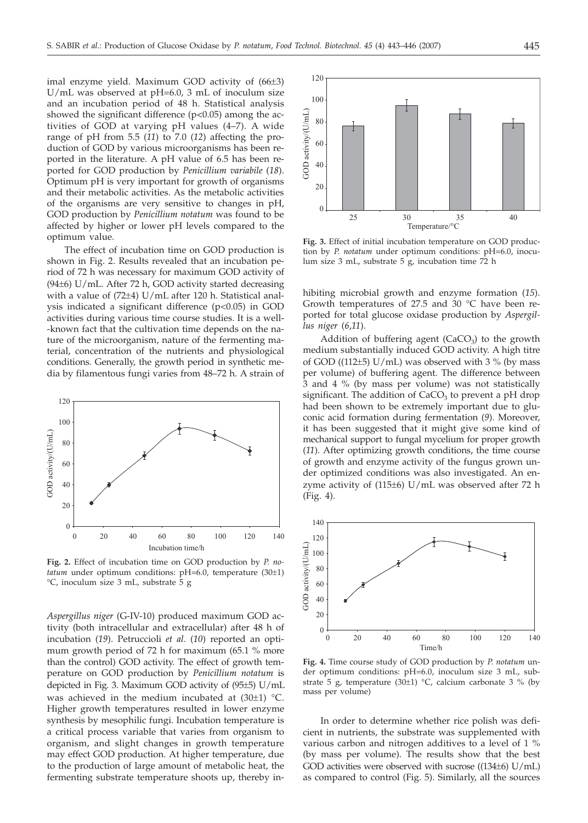imal enzyme yield. Maximum GOD activity of (66±3) U/mL was observed at pH=6.0, 3 mL of inoculum size and an incubation period of 48 h. Statistical analysis showed the significant difference (p*<*0.05) among the activities of GOD at varying pH values (4–7). A wide range of pH from 5.5 (*11*) to 7.0 (*12*) affecting the production of GOD by various microorganisms has been reported in the literature. A pH value of 6.5 has been reported for GOD production by *Penicillium variabile* (*18*). Optimum pH is very important for growth of organisms and their metabolic activities. As the metabolic activities of the organisms are very sensitive to changes in pH, GOD production by *Penicillium notatum* was found to be affected by higher or lower pH levels compared to the optimum value.

The effect of incubation time on GOD production is shown in Fig. 2. Results revealed that an incubation period of 72 h was necessary for maximum GOD activity of (94±6) U/mL. After 72 h, GOD activity started decreasing with a value of (72±4) U/mL after 120 h. Statistical analysis indicated a significant difference (p<0.05) in GOD activities during various time course studies. It is a well- -known fact that the cultivation time depends on the nature of the microorganism, nature of the fermenting material, concentration of the nutrients and physiological conditions. Generally, the growth period in synthetic media by filamentous fungi varies from 48–72 h. A strain of



**Fig. 2.** Effect of incubation time on GOD production by *P. notatum* under optimum conditions: pH=6.0, temperature (30±1) °C, inoculum size 3 mL, substrate 5 g

*Aspergillus niger* (G-IV-10) produced maximum GOD activity (both intracellular and extracellular) after 48 h of incubation (*19*). Petruccioli *et al*. (*10*) reported an optimum growth period of 72 h for maximum (65.1 % more than the control) GOD activity. The effect of growth temperature on GOD production by *Penicillium notatum* is depicted in Fig. 3. Maximum GOD activity of (95±5) U/mL was achieved in the medium incubated at  $(30±1)$  °C. Higher growth temperatures resulted in lower enzyme synthesis by mesophilic fungi. Incubation temperature is a critical process variable that varies from organism to organism, and slight changes in growth temperature may effect GOD production. At higher temperature, due to the production of large amount of metabolic heat, the fermenting substrate temperature shoots up, thereby in-



**Fig. 3.** Effect of initial incubation temperature on GOD production by *P. notatum* under optimum conditions: pH=6.0, inoculum size 3 mL, substrate 5 g, incubation time 72 h

hibiting microbial growth and enzyme formation (*15*). Growth temperatures of 27.5 and 30 °C have been reported for total glucose oxidase production by *Aspergillus niger* (*6*,*11*).

Addition of buffering agent  $(CaCO<sub>3</sub>)$  to the growth medium substantially induced GOD activity. A high titre of GOD ((112 $\pm$ 5) U/mL) was observed with 3 % (by mass per volume) of buffering agent. The difference between 3 and 4 % (by mass per volume) was not statistically significant. The addition of  $CaCO<sub>3</sub>$  to prevent a pH drop had been shown to be extremely important due to gluconic acid formation during fermentation (*9*). Moreover, it has been suggested that it might give some kind of mechanical support to fungal mycelium for proper growth (*11*). After optimizing growth conditions, the time course of growth and enzyme activity of the fungus grown under optimized conditions was also investigated. An enzyme activity of (115±6) U/mL was observed after 72 h (Fig. 4).



**Fig. 4.** Time course study of GOD production by *P. notatum* under optimum conditions: pH=6.0, inoculum size 3 mL, substrate 5 g, temperature (30 $\pm$ 1) °C, calcium carbonate 3 % (by mass per volume)

In order to determine whether rice polish was deficient in nutrients, the substrate was supplemented with various carbon and nitrogen additives to a level of 1 % (by mass per volume). The results show that the best GOD activities were observed with sucrose ((134±6) U/mL) as compared to control (Fig. 5). Similarly, all the sources